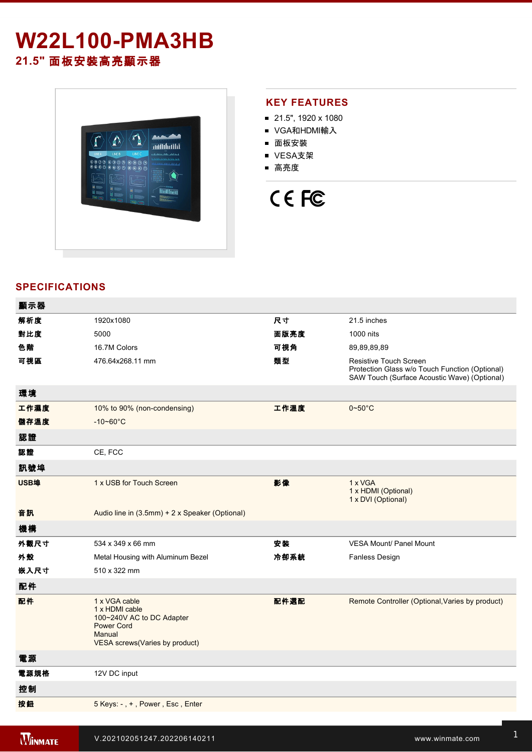## **W22L100-PMA3HB 21.5"** 面板安裝高亮顯示器



#### **KEY FEATURES**

- 21.5", 1920 x 1080
- VGA和HDMI輸入
- 面板安裝
- VESA支架
- 高亮度

# CE FC

#### **SPECIFICATIONS**

| 顯示器  |                                                                                                                               |      |                                                                                                                                 |
|------|-------------------------------------------------------------------------------------------------------------------------------|------|---------------------------------------------------------------------------------------------------------------------------------|
| 解析度  | 1920x1080                                                                                                                     | 尺寸   | 21.5 inches                                                                                                                     |
| 對比度  | 5000                                                                                                                          | 面版亮度 | 1000 nits                                                                                                                       |
| 色階   | 16.7M Colors                                                                                                                  | 可視角  | 89,89,89,89                                                                                                                     |
| 可視區  | 476.64x268.11 mm                                                                                                              | 類型   | <b>Resistive Touch Screen</b><br>Protection Glass w/o Touch Function (Optional)<br>SAW Touch (Surface Acoustic Wave) (Optional) |
| 環境   |                                                                                                                               |      |                                                                                                                                 |
| 工作濕度 | 10% to 90% (non-condensing)                                                                                                   | 工作溫度 | $0\nthicksim50^{\circ}$ C                                                                                                       |
| 儲存溫度 | $-10 - 60^{\circ}C$                                                                                                           |      |                                                                                                                                 |
| 認證   |                                                                                                                               |      |                                                                                                                                 |
| 認證   | CE, FCC                                                                                                                       |      |                                                                                                                                 |
| 訊號埠  |                                                                                                                               |      |                                                                                                                                 |
| USB埠 | 1 x USB for Touch Screen                                                                                                      | 影像   | 1 x VGA<br>1 x HDMI (Optional)<br>1 x DVI (Optional)                                                                            |
| 音訊   | Audio line in (3.5mm) + 2 x Speaker (Optional)                                                                                |      |                                                                                                                                 |
| 機構   |                                                                                                                               |      |                                                                                                                                 |
| 外觀尺寸 | 534 x 349 x 66 mm                                                                                                             | 安装   | <b>VESA Mount/ Panel Mount</b>                                                                                                  |
| 外殼   | Metal Housing with Aluminum Bezel                                                                                             | 冷卻系統 | Fanless Design                                                                                                                  |
| 嵌入尺寸 | 510 x 322 mm                                                                                                                  |      |                                                                                                                                 |
| 配件   |                                                                                                                               |      |                                                                                                                                 |
| 配件   | 1 x VGA cable<br>1 x HDMI cable<br>100~240V AC to DC Adapter<br><b>Power Cord</b><br>Manual<br>VESA screws(Varies by product) | 配件選配 | Remote Controller (Optional, Varies by product)                                                                                 |
| 電源   |                                                                                                                               |      |                                                                                                                                 |
| 電源規格 | 12V DC input                                                                                                                  |      |                                                                                                                                 |
| 控制   |                                                                                                                               |      |                                                                                                                                 |
| 按鈕   | 5 Keys: -, +, Power, Esc, Enter                                                                                               |      |                                                                                                                                 |
|      |                                                                                                                               |      |                                                                                                                                 |

windows and was a strong was a strong windows and windows a strong windows and windows a strong windows and windows a strong windows are strong windows as a strong windows are strong windows as a strong windows are strong